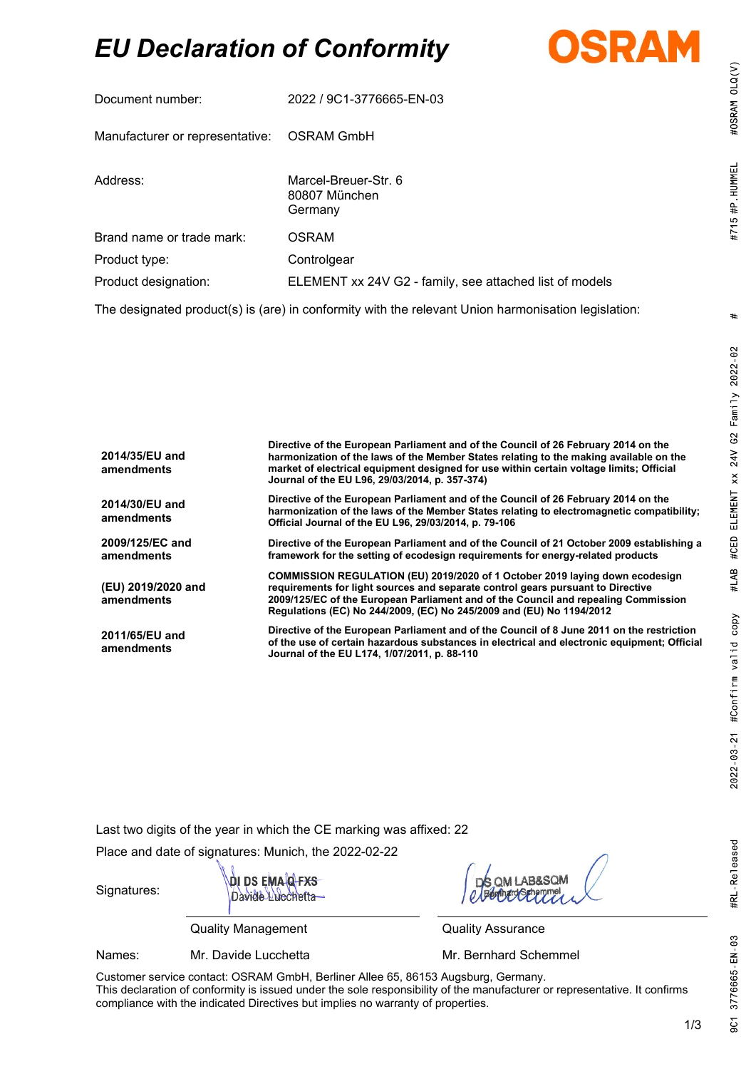# *EU Declaration of Conformity*



| Document number:                | 2022 / 9C1-3776665-EN-03                                                                                       |  |  |
|---------------------------------|----------------------------------------------------------------------------------------------------------------|--|--|
| Manufacturer or representative: | OSRAM GmbH                                                                                                     |  |  |
| Address:                        | Marcel-Breuer-Str. 6<br>80807 München<br>Germany                                                               |  |  |
| Brand name or trade mark:       | <b>OSRAM</b>                                                                                                   |  |  |
| Product type:                   | Controlgear                                                                                                    |  |  |
| Product designation:            | ELEMENT xx 24V G2 - family, see attached list of models                                                        |  |  |
|                                 | The declarated and dirette) in teach in a cafe and the collection of the internal and contraction to algebrate |  |  |

The designated product(s) is (are) in conformity with the relevant Union harmonisation legislation:

| 2014/35/EU and<br>amendments     | Directive of the European Parliament and of the Council of 26 February 2014 on the<br>harmonization of the laws of the Member States relating to the making available on the<br>market of electrical equipment designed for use within certain voltage limits; Official<br>Journal of the EU L96, 29/03/2014, p. 357-374)     |
|----------------------------------|-------------------------------------------------------------------------------------------------------------------------------------------------------------------------------------------------------------------------------------------------------------------------------------------------------------------------------|
| 2014/30/EU and<br>amendments     | Directive of the European Parliament and of the Council of 26 February 2014 on the<br>harmonization of the laws of the Member States relating to electromagnetic compatibility;<br>Official Journal of the EU L96, 29/03/2014, p. 79-106                                                                                      |
| 2009/125/EC and<br>amendments    | Directive of the European Parliament and of the Council of 21 October 2009 establishing a<br>framework for the setting of ecodesign requirements for energy-related products                                                                                                                                                  |
| (EU) 2019/2020 and<br>amendments | COMMISSION REGULATION (EU) 2019/2020 of 1 October 2019 laying down ecodesign<br>requirements for light sources and separate control gears pursuant to Directive<br>2009/125/EC of the European Parliament and of the Council and repealing Commission<br>Regulations (EC) No 244/2009, (EC) No 245/2009 and (EU) No 1194/2012 |
| 2011/65/EU and<br>amendments     | Directive of the European Parliament and of the Council of 8 June 2011 on the restriction<br>of the use of certain hazardous substances in electrical and electronic equipment; Official<br>Journal of the EU L174, 1/07/2011, p. 88-110                                                                                      |

Last two digits of the year in which the CE marking was affixed: 22

Place and date of signatures: Munich, the 2022-02-22



Quality Management Quality Assurance

Names: Mr. Davide Lucchetta Mr. Bernhard Schemmel

Signatures:

Customer service contact: OSRAM GmbH, Berliner Allee 65, 86153 Augsburg, Germany. This declaration of conformity is issued under the sole responsibility of the manufacturer or representative. It confirms compliance with the indicated Directives but implies no warranty of properties.

#OSRAM OLQ(V)

#715 #P HUMMEL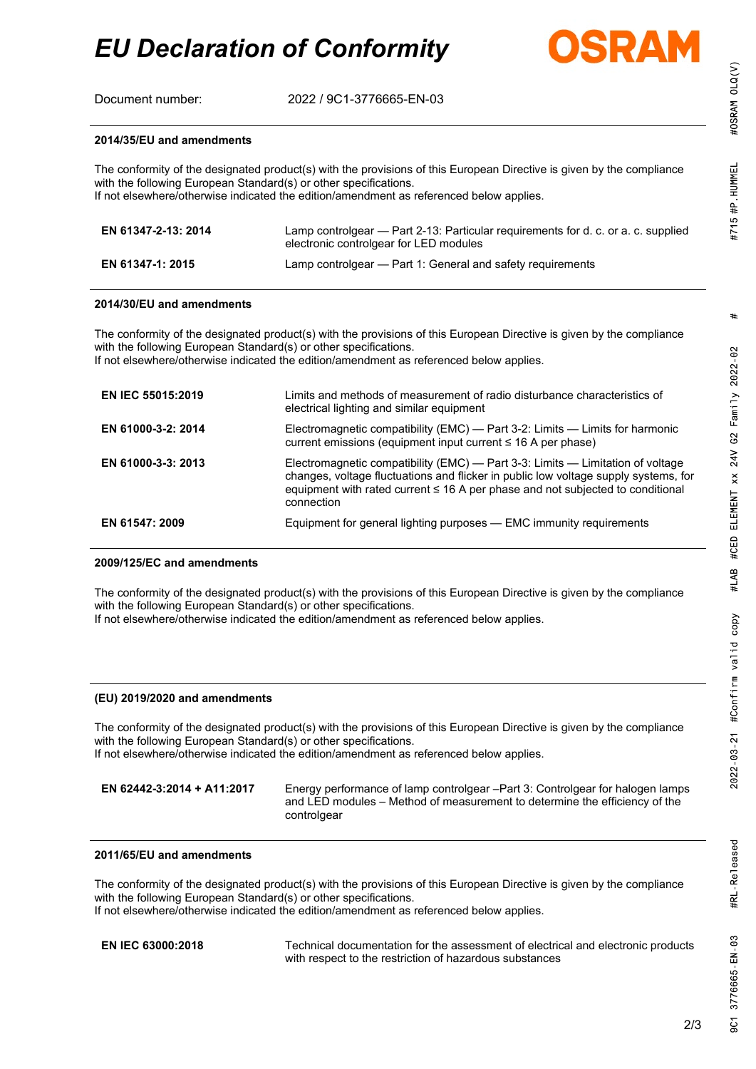

#OSRAM OLQ(V)

Document number: 2022 / 9C1-3776665-EN-03

#### **2014/35/EU and amendments**

The conformity of the designated product(s) with the provisions of this European Directive is given by the compliance with the following European Standard(s) or other specifications. If not elsewhere/otherwise indicated the edition/amendment as referenced below applies.

| EN 61347-2-13: 2014 | Lamp controlgear — Part 2-13: Particular requirements for d. c. or a. c. supplied<br>electronic controlgear for LED modules |
|---------------------|-----------------------------------------------------------------------------------------------------------------------------|
| EN 61347-1: 2015    | Lamp controlgear - Part 1: General and safety requirements                                                                  |

#### **2014/30/EU and amendments**

The conformity of the designated product(s) with the provisions of this European Directive is given by the compliance with the following European Standard(s) or other specifications.

If not elsewhere/otherwise indicated the edition/amendment as referenced below applies.

| <b>EN IEC 55015:2019</b> | Limits and methods of measurement of radio disturbance characteristics of<br>electrical lighting and similar equipment                                                                                                                                                |
|--------------------------|-----------------------------------------------------------------------------------------------------------------------------------------------------------------------------------------------------------------------------------------------------------------------|
| EN 61000-3-2: 2014       | Electromagnetic compatibility (EMC) - Part 3-2: Limits - Limits for harmonic<br>current emissions (equipment input current $\leq 16$ A per phase)                                                                                                                     |
| EN 61000-3-3: 2013       | Electromagnetic compatibility (EMC) — Part 3-3: Limits — Limitation of voltage<br>changes, voltage fluctuations and flicker in public low voltage supply systems, for<br>equipment with rated current ≤ 16 A per phase and not subjected to conditional<br>connection |
| EN 61547: 2009           | Equipment for general lighting purposes - EMC immunity requirements                                                                                                                                                                                                   |

#### **2009/125/EC and amendments**

The conformity of the designated product(s) with the provisions of this European Directive is given by the compliance with the following European Standard(s) or other specifications.

If not elsewhere/otherwise indicated the edition/amendment as referenced below applies.

#### **(EU) 2019/2020 and amendments**

The conformity of the designated product(s) with the provisions of this European Directive is given by the compliance with the following European Standard(s) or other specifications. If not elsewhere/otherwise indicated the edition/amendment as referenced below applies.

**EN 62442-3:2014 + A11:2017** Energy performance of lamp controlgear –Part 3: Controlgear for halogen lamps and LED modules – Method of measurement to determine the efficiency of the controlgear

### **2011/65/EU and amendments**

The conformity of the designated product(s) with the provisions of this European Directive is given by the compliance with the following European Standard(s) or other specifications. If not elsewhere/otherwise indicated the edition/amendment as referenced below applies.

**EN IEC 63000:2018** Technical documentation for the assessment of electrical and electronic products with respect to the restriction of hazardous substances